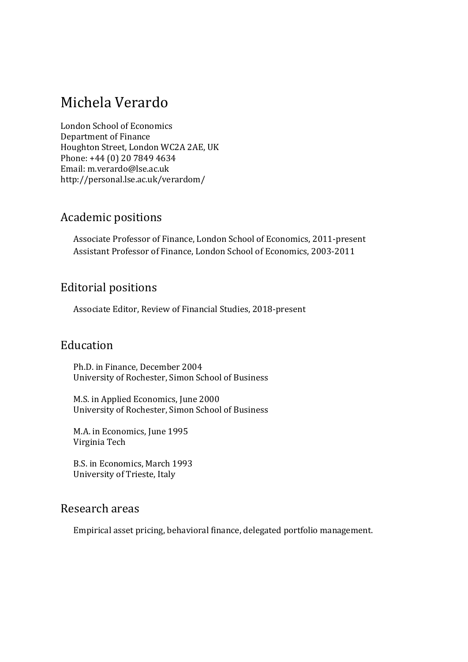# Michela Verardo

London School of Economics Department of Finance Houghton Street, London WC2A 2AE, UK Phone: +44 (0) 20 7849 4634 Email: m.verardo@lse.ac.uk http://personal.lse.ac.uk/verardom/ 

### Academic positions

Associate Professor of Finance, London School of Economics, 2011-present Assistant Professor of Finance, London School of Economics, 2003-2011

## Editorial positions

Associate Editor, Review of Financial Studies, 2018-present

## Education

Ph.D. in Finance, December 2004 University of Rochester, Simon School of Business

M.S. in Applied Economics, June 2000 University of Rochester, Simon School of Business

M.A. in Economics, June 1995 Virginia Tech 

B.S. in Economics, March 1993 University of Trieste, Italy

### Research areas

Empirical asset pricing, behavioral finance, delegated portfolio management.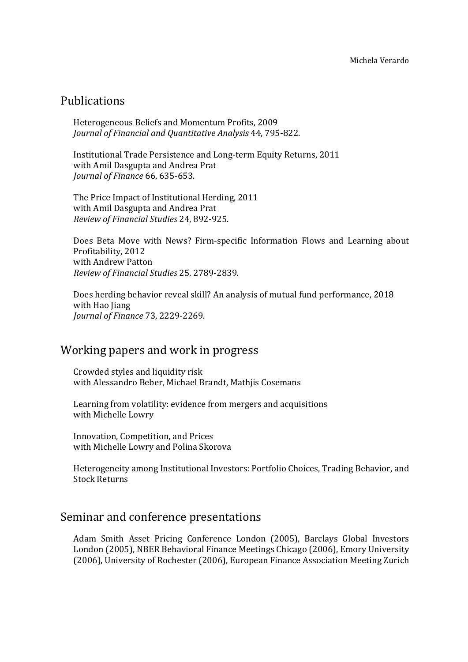### Publications

Heterogeneous Beliefs and Momentum Profits, 2009 *Journal of Financial and Quantitative Analysis* 44, 795‐822. 

Institutional Trade Persistence and Long-term Equity Returns, 2011 with Amil Dasgupta and Andrea Prat *Journal of Finance* 66, 635‐653. 

The Price Impact of Institutional Herding, 2011 with Amil Dasgupta and Andrea Prat *Review of Financial Studies* 24, 892‐925. 

Does Beta Move with News? Firm-specific Information Flows and Learning about Profitability, 2012 with Andrew Patton *Review of Financial Studies* 25, 2789‐2839*.*

Does herding behavior reveal skill? An analysis of mutual fund performance, 2018 with Hao Jiang *Journal of Finance* 73, 2229‐2269. 

#### Working papers and work in progress

Crowded styles and liquidity risk with Alessandro Beber, Michael Brandt, Mathjis Cosemans

Learning from volatility: evidence from mergers and acquisitions with Michelle Lowry

Innovation, Competition, and Prices with Michelle Lowry and Polina Skorova

Heterogeneity among Institutional Investors: Portfolio Choices, Trading Behavior, and Stock Returns 

#### Seminar and conference presentations

Adam Smith Asset Pricing Conference London (2005), Barclays Global Investors London (2005), NBER Behavioral Finance Meetings Chicago (2006), Emory University (2006), University of Rochester (2006), European Finance Association Meeting Zurich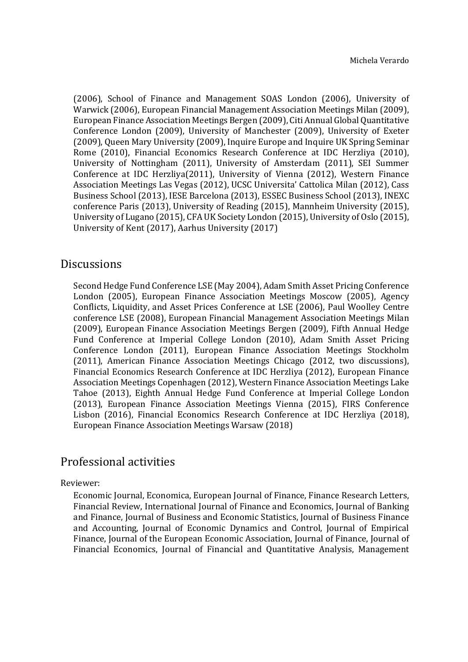(2006), School of Finance and Management SOAS London (2006), University of Warwick (2006), European Financial Management Association Meetings Milan (2009), European Finance Association Meetings Bergen (2009), Citi Annual Global Quantitative Conference London (2009), University of Manchester (2009), University of Exeter (2009), Queen Mary University (2009), Inquire Europe and Inquire UK Spring Seminar Rome (2010), Financial Economics Research Conference at IDC Herzliya (2010), University of Nottingham (2011), University of Amsterdam (2011), SEI Summer Conference at IDC Herzliya(2011), University of Vienna (2012), Western Finance Association Meetings Las Vegas (2012), UCSC Universita' Cattolica Milan (2012), Cass Business School (2013), IESE Barcelona (2013), ESSEC Business School (2013), INEXC conference Paris (2013), University of Reading (2015), Mannheim University (2015), University of Lugano (2015), CFA UK Society London (2015), University of Oslo (2015), University of Kent (2017), Aarhus University (2017)

#### **Discussions**

Second Hedge Fund Conference LSE (May 2004), Adam Smith Asset Pricing Conference London (2005), European Finance Association Meetings Moscow (2005), Agency Conflicts, Liquidity, and Asset Prices Conference at LSE (2006), Paul Woolley Centre conference LSE (2008), European Financial Management Association Meetings Milan (2009), European Finance Association Meetings Bergen (2009), Fifth Annual Hedge Fund Conference at Imperial College London (2010), Adam Smith Asset Pricing Conference London (2011), European Finance Association Meetings Stockholm (2011), American Finance Association Meetings Chicago (2012, two discussions), Financial Economics Research Conference at IDC Herzliya (2012), European Finance Association Meetings Copenhagen (2012), Western Finance Association Meetings Lake Tahoe (2013), Eighth Annual Hedge Fund Conference at Imperial College London (2013), European Finance Association Meetings Vienna (2015), FIRS Conference Lisbon (2016), Financial Economics Research Conference at IDC Herzliya (2018), European Finance Association Meetings Warsaw (2018)

#### Professional activities

#### Reviewer:

Economic Journal, Economica, European Journal of Finance, Finance Research Letters, Financial Review, International Journal of Finance and Economics, Journal of Banking and Finance, Journal of Business and Economic Statistics, Journal of Business Finance and Accounting, Journal of Economic Dynamics and Control, Journal of Empirical Finance, Journal of the European Economic Association, Journal of Finance, Journal of Financial Economics, Journal of Financial and Quantitative Analysis, Management